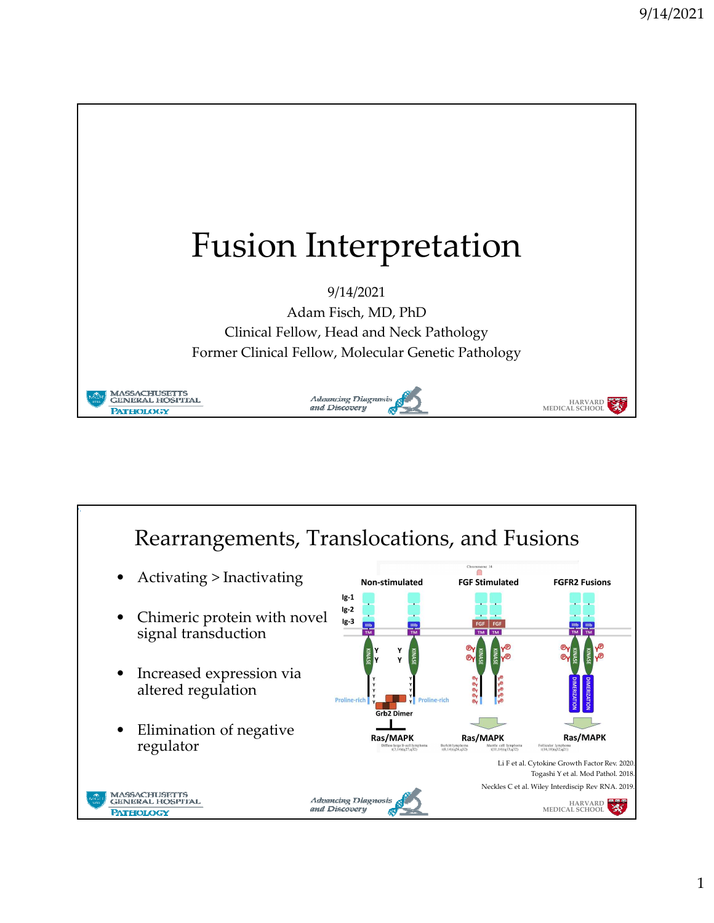

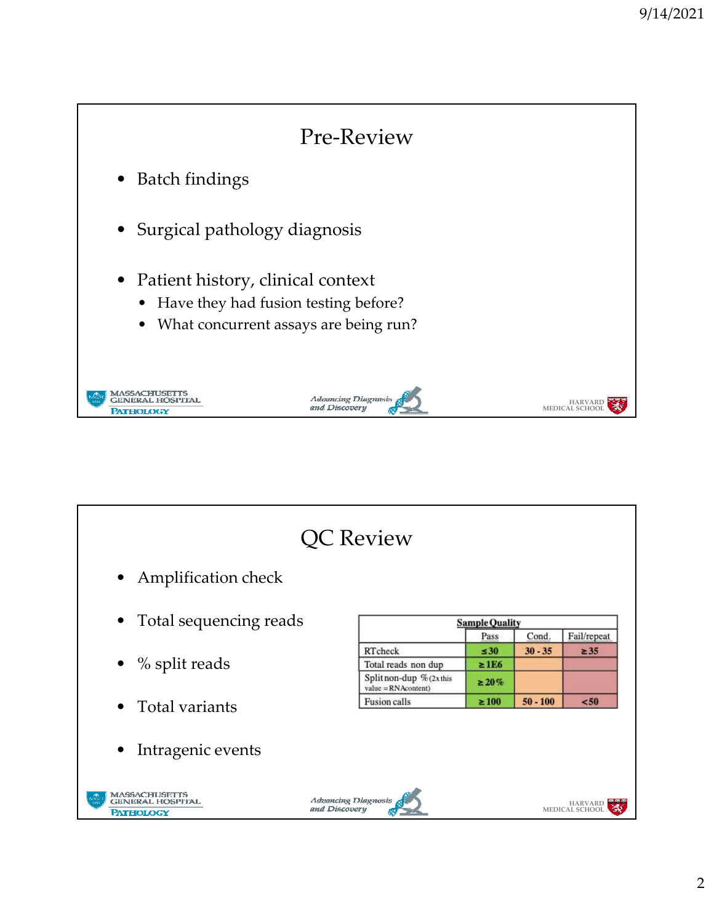